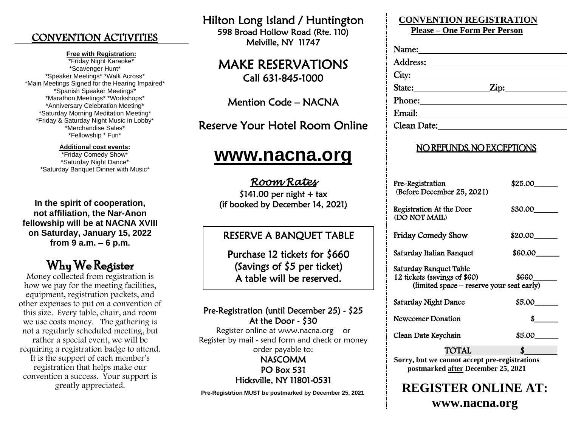## CONVENTION ACTIVITIES

#### **Free with Registration:**

\*Friday Night Karaoke\* \*Scavenger Hunt\* \*Speaker Meetings\* \*Walk Across\* \*Main Meetings Signed for the Hearing Impaired\* \*Spanish Speaker Meetings\* \*Marathon Meetings\* \*Workshops\* \*Anniversary Celebration Meeting\* \*Saturday Morning Meditation Meeting\* \*Friday & Saturday Night Music in Lobby\* \*Merchandise Sales\* \*Fellowship \* Fun\*

#### **Additional cost events:**

\*Friday Comedy Show\* \*Saturday Night Dance\* \*Saturday Banquet Dinner with Music\*

**In the spirit of cooperation, not affiliation, the Nar-Anon fellowship will be at NACNA XVIII on Saturday, January 15, 2022 from 9 a.m. – 6 p.m.**

## Why We Register

Money collected from registration is how we pay for the meeting facilities, equipment, registration packets, and other expenses to put on a convention of this size. Every table, chair, and room we use costs money. The gathering is not a regularly scheduled meeting, but rather a special event, we will be requiring a registration badge to attend. It is the support of each member's registration that helps make our convention a success. Your support is greatly appreciated.

Hilton Long Island / Huntington 598 Broad Hollow Road (Rte. 110) Melville, NY 11747

## MAKE RESERVATIONS Call 631-845-1000

Mention Code – NACNA

Reserve Your Hotel Room Online

# **[www.nacna.org](http://www.nacna.org/)**

*Room Rates*   $$141.00$  per night + tax (if booked by December 14, 2021)

#### $\overline{a}$ RESERVE A BANQUET TABLE

 Purchase 12 tickets for \$660 (Savings of \$5 per ticket) A table will be reserved.

### Pre-Registration (until December 25) - \$25 At the Door - \$30

Register online at www.nacna.org or Register by mail - send form and check or money order payable to:

> NASCOMM PO Box 531 Hicksville, NY 11801-0531

**Pre-Registrtion MUST be postmarked by December 25, 2021**

## **CONVENTION REGISTRATION**

**Please – One Form Per Person**

| Name: $\frac{1}{\sqrt{1-\frac{1}{2}}\cdot\frac{1}{\sqrt{1-\frac{1}{2}}}}$ |                                                                                                                                                                                                                                |  |
|---------------------------------------------------------------------------|--------------------------------------------------------------------------------------------------------------------------------------------------------------------------------------------------------------------------------|--|
| Address:                                                                  |                                                                                                                                                                                                                                |  |
| City:                                                                     |                                                                                                                                                                                                                                |  |
| State:                                                                    | Zip: the contract of the contract of the contract of the contract of the contract of the contract of the contract of the contract of the contract of the contract of the contract of the contract of the contract of the contr |  |
| Phone:                                                                    |                                                                                                                                                                                                                                |  |
| Email:                                                                    |                                                                                                                                                                                                                                |  |
| Clean Date:                                                               |                                                                                                                                                                                                                                |  |

### NO REFUNDS, NO EXCEPTIONS

| Pre-Registration<br>(Before December 25, 2021)                                                      | \$25.00 |  |
|-----------------------------------------------------------------------------------------------------|---------|--|
| Registration At the Door<br>(DO NOT MAIL)                                                           | \$30.00 |  |
| Friday Comedy Show                                                                                  | \$20.00 |  |
| Saturday Italian Banquet                                                                            | \$60.00 |  |
| Saturday Banquet Table<br>12 tickets (savings of \$60)<br>(limited space – reserve your seat early) | 8660    |  |
| Saturday Night Dance                                                                                | \$5.00  |  |
| Newcomer Donation                                                                                   | \$      |  |
| Clean Date Keychain                                                                                 | \$5.00  |  |
| TOTAL                                                                                               | \$      |  |
| Sorry, but we cannot accept pre-registrations<br>postmarked after December 25, 2021                 |         |  |

| <b>REGISTER ONLINE AT:</b> |
|----------------------------|
| www.nacna.org              |